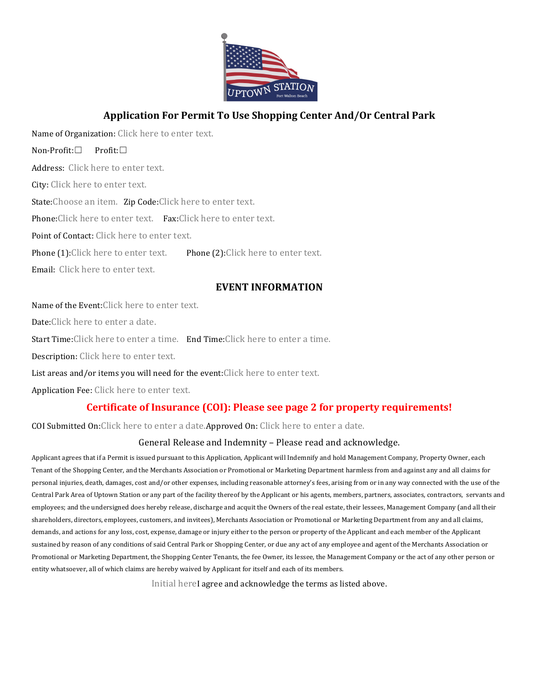

# **Application!For!Permit!To!Use!Shopping!Center!And/Or!Central!Park**

Name of Organization: Click here to enter text.

Non-Profit:□ Profit:□

Address: Click here to enter text.

City: Click here to enter text.

State:Choose an item. Zip Code:Click here to enter text.

Phone:Click here to enter text. Fax:Click here to enter text.

Point of Contact: Click here to enter text.

Phone (1):Click here to enter text. Phone (2):Click here to enter text.

Email: Click here to enter text.

### **EVENT!INFORMATION**

Name of the Event: Click here to enter text.

Date:Click here to enter a date.

Start Time:Click here to enter a time. End Time:Click here to enter a time.

Description: Click here to enter text.

List areas and/or items you will need for the event:Click here to enter text.

Application Fee: Click here to enter text.

## **Certificate of Insurance (COI): Please see page 2 for property requirements!**

COI Submitted On:Click here to enter a date.Approved On: Click here to enter a date.

#### General Release and Indemnity – Please read and acknowledge.

Applicant agrees that if a Permit is issued pursuant to this Application, Applicant will Indemnify and hold Management Company, Property Owner, each Tenant of the Shopping Center, and the Merchants Association or Promotional or Marketing Department harmless from and against any and all claims for personal injuries, death, damages, cost and/or other expenses, including reasonable attorney's fees, arising from or in any way connected with the use of the Central Park Area of Uptown Station or any part of the facility thereof by the Applicant or his agents, members, partners, associates, contractors, servants and employees; and the undersigned does hereby release, discharge and acquit the Owners of the real estate, their lessees, Management Company (and all their shareholders, directors, employees, customers, and invitees), Merchants Association or Promotional or Marketing Department from any and all claims, demands, and actions for any loss, cost, expense, damage or injury either to the person or property of the Applicant and each member of the Applicant sustained by reason of any conditions of said Central Park or Shopping Center, or due any act of any employee and agent of the Merchants Association or Promotional or Marketing Department, the Shopping Center Tenants, the fee Owner, its lessee, the Management Company or the act of any other person or entity whatsoever, all of which claims are hereby waived by Applicant for itself and each of its members.

Initial hereI agree and acknowledge the terms as listed above.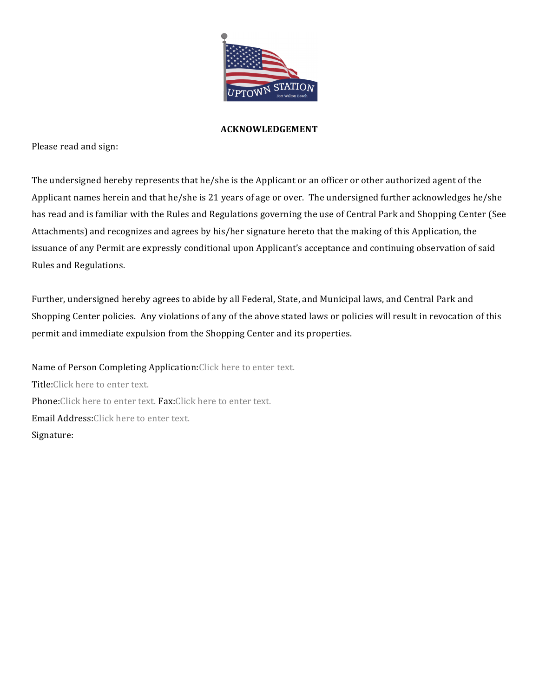

#### **ACKNOWLEDGEMENT**

Please read and sign:

The undersigned hereby represents that he/she is the Applicant or an officer or other authorized agent of the Applicant names herein and that he/she is 21 years of age or over. The undersigned further acknowledges he/she has read and is familiar with the Rules and Regulations governing the use of Central Park and Shopping Center (See Attachments) and recognizes and agrees by his/her signature hereto that the making of this Application, the issuance of any Permit are expressly conditional upon Applicant's acceptance and continuing observation of said Rules and Regulations.

Further, undersigned hereby agrees to abide by all Federal, State, and Municipal laws, and Central Park and Shopping Center policies. Any violations of any of the above stated laws or policies will result in revocation of this permit and immediate expulsion from the Shopping Center and its properties.

Name of Person Completing Application:Click here to enter text. Title: Click here to enter text. Phone:Click here to enter text. Fax:Click here to enter text. Email Address: Click here to enter text. Signature: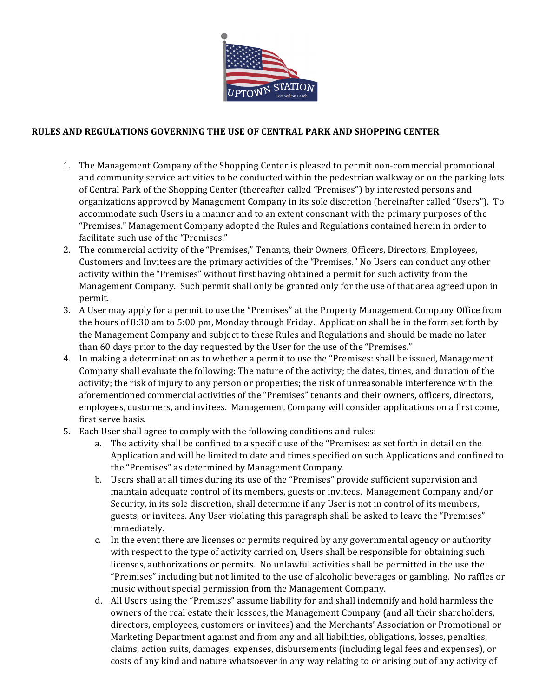

### RULES AND REGULATIONS GOVERNING THE USE OF CENTRAL PARK AND SHOPPING CENTER

- 1. The Management Company of the Shopping Center is pleased to permit non-commercial promotional and community service activities to be conducted within the pedestrian walkway or on the parking lots of Central Park of the Shopping Center (thereafter called "Premises") by interested persons and organizations approved by Management Company in its sole discretion (hereinafter called "Users"). To accommodate such Users in a manner and to an extent consonant with the primary purposes of the "Premises." Management Company adopted the Rules and Regulations contained herein in order to facilitate such use of the "Premises."
- 2. The commercial activity of the "Premises," Tenants, their Owners, Officers, Directors, Employees, Customers and Invitees are the primary activities of the "Premises." No Users can conduct any other activity within the "Premises" without first having obtained a permit for such activity from the Management Company. Such permit shall only be granted only for the use of that area agreed upon in permit.
- 3. A User may apply for a permit to use the "Premises" at the Property Management Company Office from the hours of 8:30 am to 5:00 pm, Monday through Friday. Application shall be in the form set forth by the Management Company and subject to these Rules and Regulations and should be made no later than 60 days prior to the day requested by the User for the use of the "Premises."
- 4. In making a determination as to whether a permit to use the "Premises: shall be issued, Management Company shall evaluate the following: The nature of the activity; the dates, times, and duration of the activity; the risk of injury to any person or properties; the risk of unreasonable interference with the aforementioned commercial activities of the "Premises" tenants and their owners, officers, directors, employees, customers, and invitees. Management Company will consider applications on a first come, first serve basis.
- 5. Each User shall agree to comply with the following conditions and rules:
	- a. The activity shall be confined to a specific use of the "Premises: as set forth in detail on the Application and will be limited to date and times specified on such Applications and confined to the "Premises" as determined by Management Company.
	- b. Users shall at all times during its use of the "Premises" provide sufficient supervision and maintain adequate control of its members, guests or invitees. Management Company and/or Security, in its sole discretion, shall determine if any User is not in control of its members, guests, or invitees. Any User violating this paragraph shall be asked to leave the "Premises" immediately.
	- c. In the event there are licenses or permits required by any governmental agency or authority with respect to the type of activity carried on, Users shall be responsible for obtaining such licenses, authorizations or permits. No unlawful activities shall be permitted in the use the "Premises" including but not limited to the use of alcoholic beverages or gambling. No raffles or music without special permission from the Management Company.
	- d. All Users using the "Premises" assume liability for and shall indemnify and hold harmless the owners of the real estate their lessees, the Management Company (and all their shareholders, directors, employees, customers or invitees) and the Merchants' Association or Promotional or Marketing Department against and from any and all liabilities, obligations, losses, penalties, claims, action suits, damages, expenses, disbursements (including legal fees and expenses), or costs of any kind and nature whatsoever in any way relating to or arising out of any activity of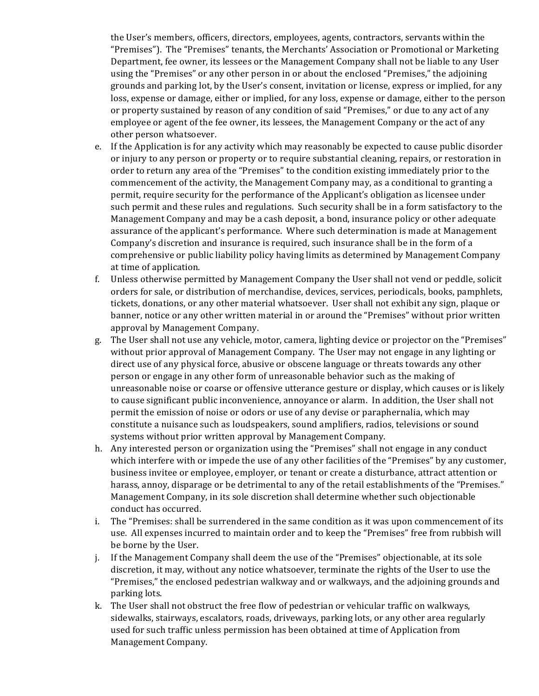the User's members, officers, directors, employees, agents, contractors, servants within the "Premises"). The "Premises" tenants, the Merchants' Association or Promotional or Marketing Department, fee owner, its lessees or the Management Company shall not be liable to any User using the "Premises" or any other person in or about the enclosed "Premises," the adjoining grounds and parking lot, by the User's consent, invitation or license, express or implied, for any loss, expense or damage, either or implied, for any loss, expense or damage, either to the person or property sustained by reason of any condition of said "Premises," or due to any act of any employee or agent of the fee owner, its lessees, the Management Company or the act of any other person whatsoever.

- e. If the Application is for any activity which may reasonably be expected to cause public disorder or injury to any person or property or to require substantial cleaning, repairs, or restoration in order to return any area of the "Premises" to the condition existing immediately prior to the commencement of the activity, the Management Company may, as a conditional to granting a permit, require security for the performance of the Applicant's obligation as licensee under such permit and these rules and regulations. Such security shall be in a form satisfactory to the Management Company and may be a cash deposit, a bond, insurance policy or other adequate assurance of the applicant's performance. Where such determination is made at Management Company's discretion and insurance is required, such insurance shall be in the form of a comprehensive or public liability policy having limits as determined by Management Company at time of application.
- f. Unless otherwise permitted by Management Company the User shall not vend or peddle, solicit orders for sale, or distribution of merchandise, devices, services, periodicals, books, pamphlets, tickets, donations, or any other material whatsoever. User shall not exhibit any sign, plaque or banner, notice or any other written material in or around the "Premises" without prior written approval by Management Company.
- g. The User shall not use any vehicle, motor, camera, lighting device or projector on the "Premises" without prior approval of Management Company. The User may not engage in any lighting or direct use of any physical force, abusive or obscene language or threats towards any other person or engage in any other form of unreasonable behavior such as the making of unreasonable noise or coarse or offensive utterance gesture or display, which causes or is likely to cause significant public inconvenience, annoyance or alarm. In addition, the User shall not permit the emission of noise or odors or use of any devise or paraphernalia, which may constitute a nuisance such as loudspeakers, sound amplifiers, radios, televisions or sound systems without prior written approval by Management Company.
- h. Any interested person or organization using the "Premises" shall not engage in any conduct which interfere with or impede the use of any other facilities of the "Premises" by any customer, business invitee or employee, employer, or tenant or create a disturbance, attract attention or harass, annoy, disparage or be detrimental to any of the retail establishments of the "Premises." Management Company, in its sole discretion shall determine whether such objectionable conduct has occurred.
- i. The "Premises: shall be surrendered in the same condition as it was upon commencement of its use. All expenses incurred to maintain order and to keep the "Premises" free from rubbish will be borne by the User.
- j. If the Management Company shall deem the use of the "Premises" objectionable, at its sole discretion, it may, without any notice whatsoever, terminate the rights of the User to use the "Premises," the enclosed pedestrian walkway and or walkways, and the adjoining grounds and parking lots.
- k. The User shall not obstruct the free flow of pedestrian or vehicular traffic on walkways, sidewalks, stairways, escalators, roads, driveways, parking lots, or any other area regularly used for such traffic unless permission has been obtained at time of Application from Management Company.